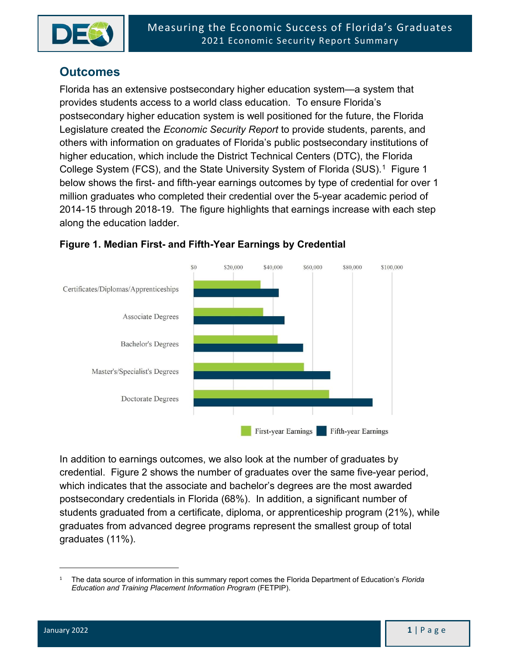

# **Outcomes**

Florida has an extensive postsecondary higher education system—a system that provides students access to a world class education. To ensure Florida's postsecondary higher education system is well positioned for the future, the Florida Legislature created the Economic Security Report to provide students, parents, and others with information on graduates of Florida's public postsecondary institutions of higher education, which include the District Technical Centers (DTC), the Florida College System (FCS), and the State University System of Florida (SUS).<sup>1</sup> Figure 1 below shows the first- and fifth-year earnings outcomes by type of credential for over 1 million graduates who completed their credential over the 5-year academic period of 2014-15 through 2018-19. The figure highlights that earnings increase with each step along the education ladder.



#### Figure 1. Median First- and Fifth-Year Earnings by Credential

In addition to earnings outcomes, we also look at the number of graduates by credential. Figure 2 shows the number of graduates over the same five-year period, which indicates that the associate and bachelor's degrees are the most awarded postsecondary credentials in Florida (68%). In addition, a significant number of students graduated from a certificate, diploma, or apprenticeship program (21%), while graduates from advanced degree programs represent the smallest group of total graduates (11%).

<sup>1</sup> The data source of information in this summary report comes the Florida Department of Education's Florida Education and Training Placement Information Program (FETPIP).